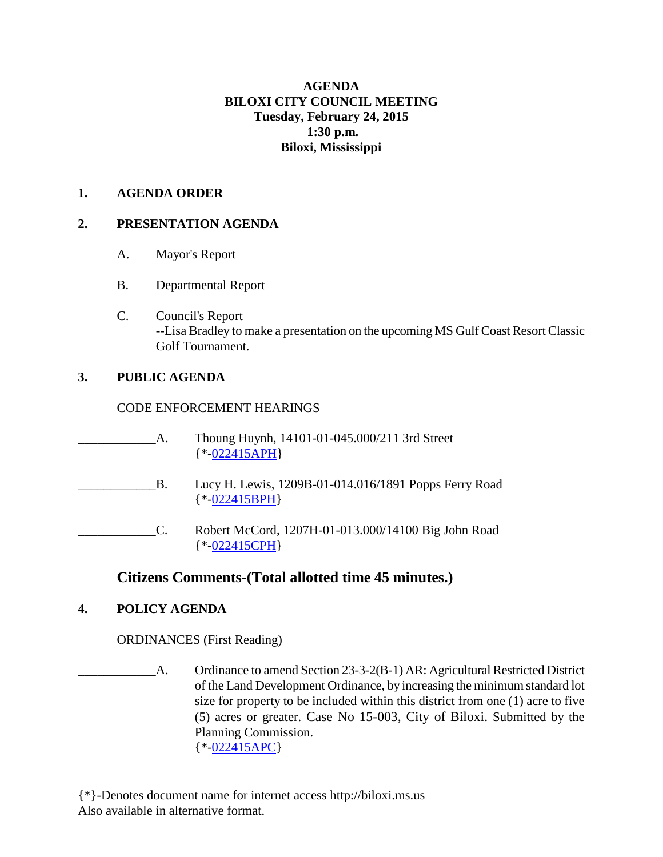# **AGENDA BILOXI CITY COUNCIL MEETING Tuesday, February 24, 2015 1:30 p.m. Biloxi, Mississippi**

#### **1. AGENDA ORDER**

### **2. PRESENTATION AGENDA**

- A. Mayor's Report
- B. Departmental Report
- C. Council's Report --Lisa Bradley to make a presentation on the upcoming MS Gulf Coast Resort Classic Golf Tournament.

# **3. PUBLIC AGENDA**

### CODE ENFORCEMENT HEARINGS

- \_\_\_\_\_\_\_\_\_\_\_\_A. Thoung Huynh, 14101-01-045.000/211 3rd Street {\*[-022415APH}](http://www.biloxi.ms.us/agendas/citycouncil/2015/022415/022415aph.pdf)
- \_\_\_\_\_\_\_\_\_\_\_\_B. Lucy H. Lewis, 1209B-01-014.016/1891 Popps Ferry Road {\*[-022415BPH}](http://www.biloxi.ms.us/agendas/citycouncil/2015/022415/022415bph.pdf)
	- \_\_\_\_\_\_\_\_\_\_\_\_C. Robert McCord, 1207H-01-013.000/14100 Big John Road {\*[-022415CPH}](http://www.biloxi.ms.us/agendas/citycouncil/2015/022415/022415cph.pdf)

# **Citizens Comments-(Total allotted time 45 minutes.)**

# **4. POLICY AGENDA**

ORDINANCES (First Reading)

\_\_\_\_\_\_\_\_\_\_\_\_A. Ordinance to amend Section 23-3-2(B-1) AR: Agricultural Restricted District of the Land Development Ordinance, by increasing the minimum standard lot size for property to be included within this district from one (1) acre to five (5) acres or greater. Case No 15-003, City of Biloxi. Submitted by the Planning Commission. {\*[-022415APC}](http://www.biloxi.ms.us/agendas/citycouncil/2015/022415/022415apc.pdf)

{\*}-Denotes document name for internet access http://biloxi.ms.us Also available in alternative format.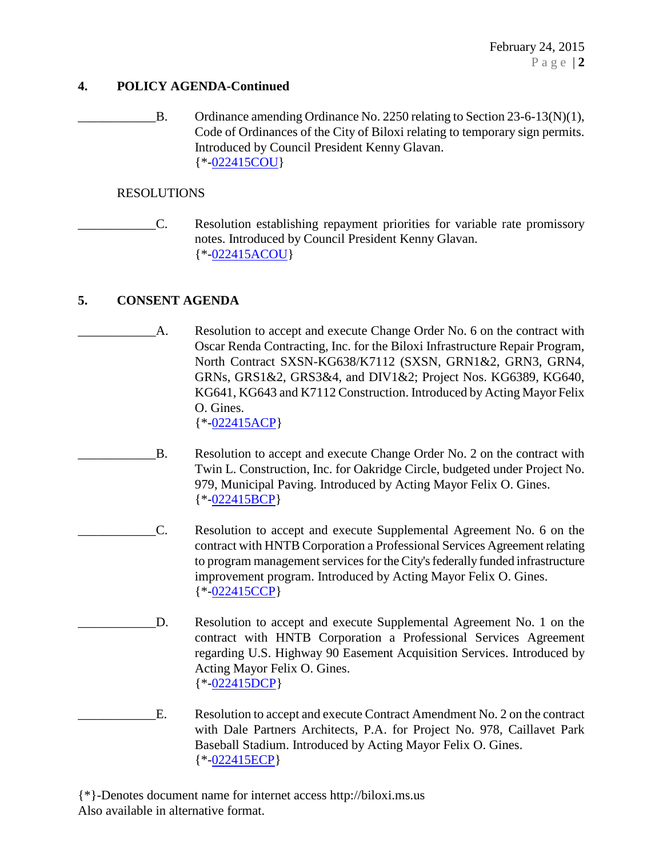### **4. POLICY AGENDA-Continued**

B. Ordinance amending Ordinance No. 2250 relating to Section 23-6-13(N)(1), Code of Ordinances of the City of Biloxi relating to temporary sign permits. Introduced by Council President Kenny Glavan. {\*[-022415COU}](http://www.biloxi.ms.us/agendas/citycouncil/2015/022415/022415cou.pdf)

#### RESOLUTIONS

\_\_\_\_\_\_\_\_\_\_\_\_C. Resolution establishing repayment priorities for variable rate promissory notes. Introduced by Council President Kenny Glavan. {\*[-022415ACOU}](http://www.biloxi.ms.us/agendas/citycouncil/2015/022415/022415acou.pdf)

# **5. CONSENT AGENDA**

- A. Resolution to accept and execute Change Order No. 6 on the contract with Oscar Renda Contracting, Inc. for the Biloxi Infrastructure Repair Program, North Contract SXSN-KG638/K7112 (SXSN, GRN1&2, GRN3, GRN4, GRNs, GRS1&2, GRS3&4, and DIV1&2; Project Nos. KG6389, KG640, KG641, KG643 and K7112 Construction. Introduced by Acting Mayor Felix O. Gines. {\*[-022415ACP}](http://www.biloxi.ms.us/agendas/citycouncil/2015/022415/022415acp.pdf)
- B. Resolution to accept and execute Change Order No. 2 on the contract with Twin L. Construction, Inc. for Oakridge Circle, budgeted under Project No. 979, Municipal Paving. Introduced by Acting Mayor Felix O. Gines. {\*[-022415BCP}](http://www.biloxi.ms.us/agendas/citycouncil/2015/022415/022415bcp.pdf)
- \_\_\_\_\_\_\_\_\_\_\_\_C. Resolution to accept and execute Supplemental Agreement No. 6 on the contract with HNTB Corporation a Professional Services Agreement relating to program management services for the City's federally funded infrastructure improvement program. Introduced by Acting Mayor Felix O. Gines. {\*[-022415CCP}](http://www.biloxi.ms.us/agendas/citycouncil/2015/022415/022415ccp.pdf)
- \_\_\_\_\_\_\_\_\_\_\_\_D. Resolution to accept and execute Supplemental Agreement No. 1 on the contract with HNTB Corporation a Professional Services Agreement regarding U.S. Highway 90 Easement Acquisition Services. Introduced by Acting Mayor Felix O. Gines. {\*[-022415DCP}](http://www.biloxi.ms.us/agendas/citycouncil/2015/022415/022415dcp.pdf)
- E. Resolution to accept and execute Contract Amendment No. 2 on the contract with Dale Partners Architects, P.A. for Project No. 978, Caillavet Park Baseball Stadium. Introduced by Acting Mayor Felix O. Gines. {\*[-022415ECP}](http://www.biloxi.ms.us/agendas/citycouncil/2015/022415/022415ecp.pdf)

{\*}-Denotes document name for internet access http://biloxi.ms.us Also available in alternative format.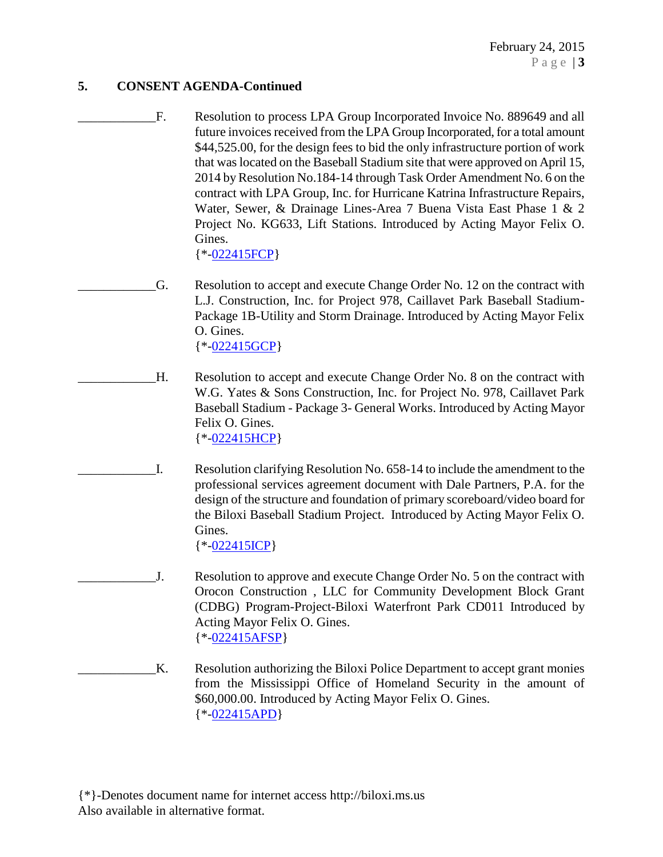### **5. CONSENT AGENDA-Continued**

F. Resolution to process LPA Group Incorporated Invoice No. 889649 and all future invoices received from the LPA Group Incorporated, for a total amount \$44,525.00, for the design fees to bid the only infrastructure portion of work that was located on the Baseball Stadium site that were approved on April 15, 2014 by Resolution No.184-14 through Task Order Amendment No. 6 on the contract with LPA Group, Inc. for Hurricane Katrina Infrastructure Repairs, Water, Sewer, & Drainage Lines-Area 7 Buena Vista East Phase 1 & 2 Project No. KG633, Lift Stations. Introduced by Acting Mayor Felix O. Gines.

{\*[-022415FCP}](http://www.biloxi.ms.us/agendas/citycouncil/2015/022415/022415fcp.pdf)

\_\_\_\_\_\_\_\_\_\_\_\_G. Resolution to accept and execute Change Order No. 12 on the contract with L.J. Construction, Inc. for Project 978, Caillavet Park Baseball Stadium-Package 1B-Utility and Storm Drainage. Introduced by Acting Mayor Felix O. Gines. {\*[-022415GCP}](http://www.biloxi.ms.us/agendas/citycouncil/2015/022415/022415gcp.pdf)

\_\_\_\_\_\_\_\_\_\_\_\_H. Resolution to accept and execute Change Order No. 8 on the contract with W.G. Yates & Sons Construction, Inc. for Project No. 978, Caillavet Park Baseball Stadium - Package 3- General Works. Introduced by Acting Mayor Felix O. Gines. {\*[-022415HCP}](http://www.biloxi.ms.us/agendas/citycouncil/2015/022415/022415hcp.pdf)

\_\_\_\_\_\_\_\_\_\_\_\_I. Resolution clarifying Resolution No. 658-14 to include the amendment to the professional services agreement document with Dale Partners, P.A. for the design of the structure and foundation of primary scoreboard/video board for the Biloxi Baseball Stadium Project. Introduced by Acting Mayor Felix O. Gines.

 ${\*$ [-022415ICP}](http://www.biloxi.ms.us/agendas/citycouncil/2015/022415/022415icp.pdf)

- J. Resolution to approve and execute Change Order No. 5 on the contract with Orocon Construction , LLC for Community Development Block Grant (CDBG) Program-Project-Biloxi Waterfront Park CD011 Introduced by Acting Mayor Felix O. Gines. {\*[-022415AFSP}](http://www.biloxi.ms.us/agendas/citycouncil/2015/022415/022415afsp.pdf)
- K. Resolution authorizing the Biloxi Police Department to accept grant monies from the Mississippi Office of Homeland Security in the amount of \$60,000.00. Introduced by Acting Mayor Felix O. Gines. {\*[-022415APD}](http://www.biloxi.ms.us/agendas/citycouncil/2015/022415/022415apd.pdf)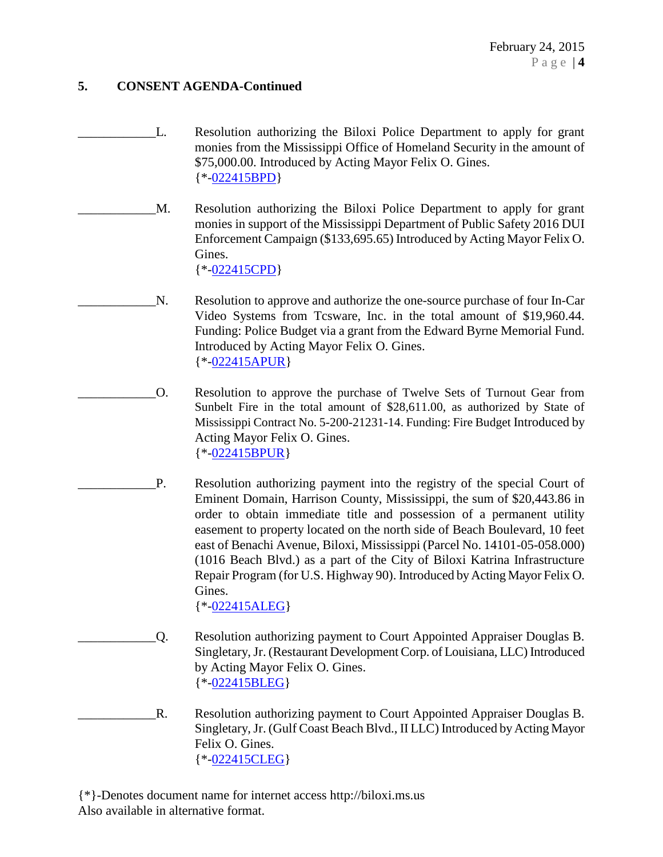### **5. CONSENT AGENDA-Continued**

- \_\_\_\_\_\_\_\_\_\_\_\_L. Resolution authorizing the Biloxi Police Department to apply for grant monies from the Mississippi Office of Homeland Security in the amount of \$75,000.00. Introduced by Acting Mayor Felix O. Gines. {\*[-022415BPD}](http://www.biloxi.ms.us/agendas/citycouncil/2015/022415/022415bpd.pdf)
	- M. Resolution authorizing the Biloxi Police Department to apply for grant monies in support of the Mississippi Department of Public Safety 2016 DUI Enforcement Campaign (\$133,695.65) Introduced by Acting Mayor Felix O. Gines.

{\*[-022415CPD}](http://www.biloxi.ms.us/agendas/citycouncil/2015/022415/022415cpd.pdf)

- N. Resolution to approve and authorize the one-source purchase of four In-Car Video Systems from Tcsware, Inc. in the total amount of \$19,960.44. Funding: Police Budget via a grant from the Edward Byrne Memorial Fund. Introduced by Acting Mayor Felix O. Gines. {\*[-022415APUR}](http://www.biloxi.ms.us/agendas/citycouncil/2015/022415/022415apur.pdf)
- \_\_\_\_\_\_\_\_\_\_\_\_O. Resolution to approve the purchase of Twelve Sets of Turnout Gear from Sunbelt Fire in the total amount of \$28,611.00, as authorized by State of Mississippi Contract No. 5-200-21231-14. Funding: Fire Budget Introduced by Acting Mayor Felix O. Gines. {\*[-022415BPUR}](http://www.biloxi.ms.us/agendas/citycouncil/2015/022415/022415bpur.pdf)
	- P. Resolution authorizing payment into the registry of the special Court of Eminent Domain, Harrison County, Mississippi, the sum of \$20,443.86 in order to obtain immediate title and possession of a permanent utility easement to property located on the north side of Beach Boulevard, 10 feet east of Benachi Avenue, Biloxi, Mississippi (Parcel No. 14101-05-058.000) (1016 Beach Blvd.) as a part of the City of Biloxi Katrina Infrastructure Repair Program (for U.S. Highway 90). Introduced by Acting Mayor Felix O. Gines.

{\*[-022415ALEG}](http://www.biloxi.ms.us/agendas/citycouncil/2015/022415/022415aleg.pdf)

- \_\_\_\_\_\_\_\_\_\_\_\_Q. Resolution authorizing payment to Court Appointed Appraiser Douglas B. Singletary, Jr. (Restaurant Development Corp. of Louisiana, LLC) Introduced by Acting Mayor Felix O. Gines. {\*[-022415BLEG}](http://www.biloxi.ms.us/agendas/citycouncil/2015/022415/022415bleg.pdf)
- R. Resolution authorizing payment to Court Appointed Appraiser Douglas B. Singletary, Jr. (Gulf Coast Beach Blvd., II LLC) Introduced by Acting Mayor Felix O. Gines. {\*[-022415CLEG}](http://www.biloxi.ms.us/agendas/citycouncil/2015/022415/022415cleg.pdf)

{\*}-Denotes document name for internet access http://biloxi.ms.us Also available in alternative format.